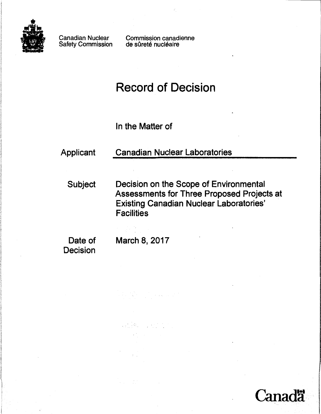

Canadian Nuclear Safety Commission Commission canadienne de sûreté nucléaire

# Record of Decision

In the Matter of

# Applicant Canadian Nuclear Laboratories

Subject Decision on the Scope of Environmental Assessments for Three Proposed Projects at **Existing Canadian Nuclear Laboratories' Facilities** 

anadä

Decision

Date of March 8, 2017

 $\mathcal{L} = \left\{ \begin{array}{ll} \mathcal{L}^2 \left( \mathcal{L}^2 \right) \mathcal{L}^2 \left( \mathcal{L}^2 \right) \mathcal{L}^2 \left( \mathcal{L}^2 \right) \mathcal{L}^2 \left( \mathcal{L}^2 \right) \mathcal{L}^2 \left( \mathcal{L}^2 \right) \mathcal{L}^2 \left( \mathcal{L}^2 \right) \mathcal{L}^2 \left( \mathcal{L}^2 \right) \mathcal{L}^2 \left( \mathcal{L}^2 \right) \mathcal{L}^2 \left( \mathcal{L}^2 \right) \mathcal{$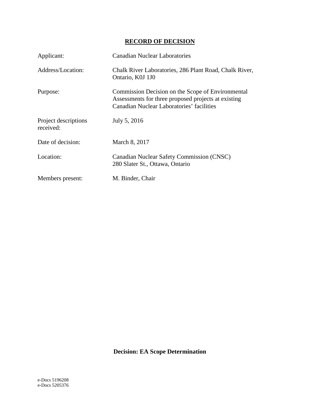# **RECORD OF DECISION**

| Applicant:                        | <b>Canadian Nuclear Laboratories</b>                                                                                                                  |
|-----------------------------------|-------------------------------------------------------------------------------------------------------------------------------------------------------|
| Address/Location:                 | Chalk River Laboratories, 286 Plant Road, Chalk River,<br>Ontario, K0J 1J0                                                                            |
| Purpose:                          | Commission Decision on the Scope of Environmental<br>Assessments for three proposed projects at existing<br>Canadian Nuclear Laboratories' facilities |
| Project descriptions<br>received: | July 5, 2016                                                                                                                                          |
| Date of decision:                 | March 8, 2017                                                                                                                                         |
| Location:                         | <b>Canadian Nuclear Safety Commission (CNSC)</b><br>280 Slater St., Ottawa, Ontario                                                                   |
| Members present:                  | M. Binder, Chair                                                                                                                                      |

**Decision: EA Scope Determination**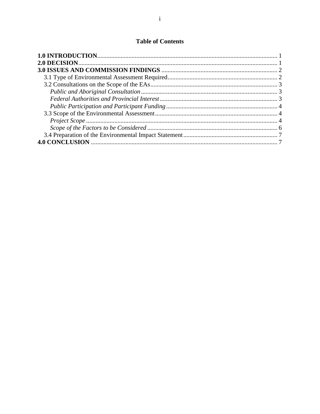# **Table of Contents**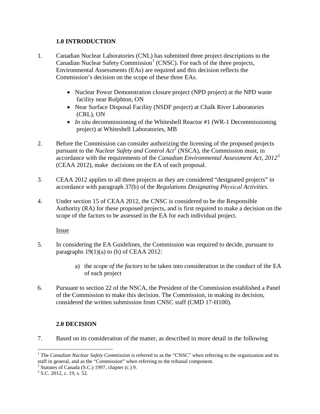#### <span id="page-3-0"></span>**1.0 INTRODUCTION**

- 1. Canadian Nuclear Laboratories (CNL) has submitted three project descriptions to the Canadian Nuclear Safety Commission<sup>[1](#page-3-2)</sup> (CNSC). For each of the three projects, Environmental Assessments (EAs) are required and this decision reflects the Commission's decision on the scope of these three EAs.
	- Nuclear Power Demonstration closure project (NPD project) at the NPD waste facility near Rolphton, ON
	- Near Surface Disposal Facility (NSDF project) at Chalk River Laboratories (CRL), ON
	- *In situ* decommissioning of the Whiteshell Reactor #1 (WR-1 Decommissioning project) at Whiteshell Laboratories, MB
- 2. Before the Commission can consider authorizing the licensing of the proposed projects pursuant to the *Nuclear Safety and Control Act*[2](#page-3-3) (NSCA), the Commission must, in accordance with the requirements of the *Canadian Environmental Assessment Act, 2012*[3](#page-3-4) (CEAA 2012), make decisions on the EA of each proposal.
- 3. CEAA 2012 applies to all three projects as they are considered "designated projects" in accordance with paragraph 37(b) of the *Regulations Designating Physical Activities.*
- 4. Under section 15 of CEAA 2012, the CNSC is considered to be the Responsible Authority (RA) for these proposed projects, and is first required to make a decision on the scope of the factors to be assessed in the EA for each individual project.

Issue

- 5. In considering the EA Guidelines, the Commission was required to decide, pursuant to paragraphs 19(1)(a) to (h) of CEAA 2012:
	- a) the *scope of the factors* to be taken into consideration in the conduct of the EA of each project
- 6. Pursuant to section 22 of the NSCA, the President of the Commission established a Panel of the Commission to make this decision. The Commission, in making its decision, considered the written submission from CNSC staff (CMD 17-H100).

# <span id="page-3-1"></span>**2.0 DECISION**

7. Based on its consideration of the matter, as described in more detail in the following

<span id="page-3-2"></span><sup>&</sup>lt;sup>1</sup> The *Canadian Nuclear Safety Commission* is referred to as the "CNSC" when referring to the organization and its staff in general, and as the "Commission" when referring to the tribunal component.  $2$  Statutes of Canada (S.C.) 1997, chapter (c.) 9.

<span id="page-3-4"></span><span id="page-3-3"></span> $3$  S.C. 2012, c. 19, s. 52.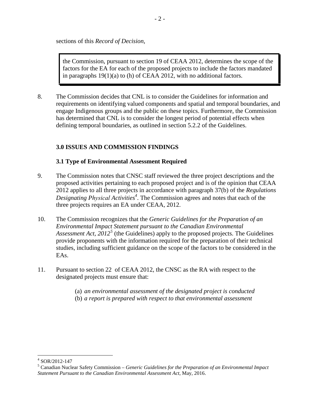sections of this *Record of Decision*,

the Commission, pursuant to section 19 of CEAA 2012, determines the scope of the factors for the EA for each of the proposed projects to include the factors mandated in paragraphs 19(1)(a) to (h) of CEAA 2012, with no additional factors.

8. The Commission decides that CNL is to consider the Guidelines for information and requirements on identifying valued components and spatial and temporal boundaries, and engage Indigenous groups and the public on these topics. Furthermore, the Commission has determined that CNL is to consider the longest period of potential effects when defining temporal boundaries, as outlined in section 5.2.2 of the Guidelines.

# <span id="page-4-0"></span>**3.0 ISSUES AND COMMISSION FINDINGS**

#### <span id="page-4-1"></span>**3.1 Type of Environmental Assessment Required**

- 9. The Commission notes that CNSC staff reviewed the three project descriptions and the proposed activities pertaining to each proposed project and is of the opinion that CEAA 2012 applies to all three projects in accordance with paragraph 37(b) of the *Regulations Designating Physical Activiti[es](#page-4-2)<sup>4</sup>* . The Commission agrees and notes that each of the three projects requires an EA under CEAA, 2012.
- 10. The Commission recognizes that the *Generic Guidelines for the Preparation of an Environmental Impact Statement pursuant to the Canadian Environmental Assessment Act, 2012<sup>[5](#page-4-3)</sup>* (the Guidelines) apply to the proposed projects. The Guidelines provide proponents with the information required for the preparation of their technical studies, including sufficient guidance on the scope of the factors to be considered in the EAs.
- 11. Pursuant to section 22 of CEAA 2012, the CNSC as the RA with respect to the designated projects must ensure that:
	- (a) *an environmental assessment of the designated project is conducted*
	- (b) *a report is prepared with respect to that environmental assessment*

<span id="page-4-3"></span><span id="page-4-2"></span><sup>&</sup>lt;sup>4</sup> SOR/2012-147<br><sup>5</sup> Canadian Nuclear Safety Commission – *Generic Guidelines for the Preparation of an Environmental Impact Statement Pursuant to the Canadian Environmental Assessment Act*, May, 2016.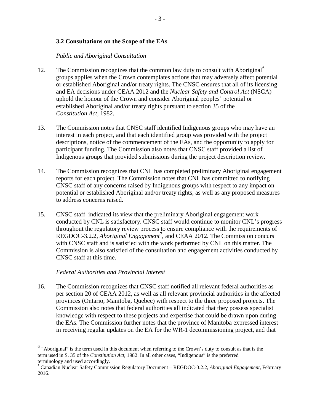#### <span id="page-5-0"></span>**3.2 Consultations on the Scope of the EAs**

#### <span id="page-5-1"></span>*Public and Aboriginal Consultation*

- 12. The Commission recognizes that the common law duty to consult with Aboriginal<sup>[6](#page-5-3)</sup> groups applies when the Crown contemplates actions that may adversely affect potential or established Aboriginal and/or treaty rights. The CNSC ensures that all of its licensing and EA decisions under CEAA 2012 and the *Nuclear Safety and Control Act* (NSCA) uphold the honour of the Crown and consider Aboriginal peoples' potential or established Aboriginal and/or treaty rights pursuant to section 35 of the *Constitution Act,* 1982.
- 13. The Commission notes that CNSC staff identified Indigenous groups who may have an interest in each project, and that each identified group was provided with the project descriptions, notice of the commencement of the EAs, and the opportunity to apply for participant funding. The Commission also notes that CNSC staff provided a list of Indigenous groups that provided submissions during the project description review.
- 14. The Commission recognizes that CNL has completed preliminary Aboriginal engagement reports for each project. The Commission notes that CNL has committed to notifying CNSC staff of any concerns raised by Indigenous groups with respect to any impact on potential or established Aboriginal and/or treaty rights, as well as any proposed measures to address concerns raised.
- 15. CNSC staff indicated its view that the preliminary Aboriginal engagement work conducted by CNL is satisfactory. CNSC staff would continue to monitor CNL's progress throughout the regulatory review process to ensure compliance with the requirements of REGDOC-3.2.2, *Aboriginal Engagement*[7](#page-5-4) , and CEAA 2012. The Commission concurs with CNSC staff and is satisfied with the work performed by CNL on this matter. The Commission is also satisfied of the consultation and engagement activities conducted by CNSC staff at this time.

#### <span id="page-5-2"></span>*Federal Authorities and Provincial Interest*

16. The Commission recognizes that CNSC staff notified all relevant federal authorities as per section 20 of CEAA 2012, as well as all relevant provincial authorities in the affected provinces (Ontario, Manitoba, Quebec) with respect to the three proposed projects. The Commission also notes that federal authorities all indicated that they possess specialist knowledge with respect to these projects and expertise that could be drawn upon during the EAs. The Commission further notes that the province of Manitoba expressed interest in receiving regular updates on the EA for the WR-1 decommissioning project, and that

<span id="page-5-3"></span> <sup>6</sup> "Aboriginal" is the term used in this document when referring to the Crown's duty to consult as that is the term used in S. 35 of the *Constitution Act*, 1982. In all other cases, "Indigenous" is the preferred terminology and used accordingly.

<span id="page-5-4"></span><sup>7</sup> Canadian Nuclear Safety Commission Regulatory Document – REGDOC-3.2.2, *Aboriginal Engagement*, February 2016.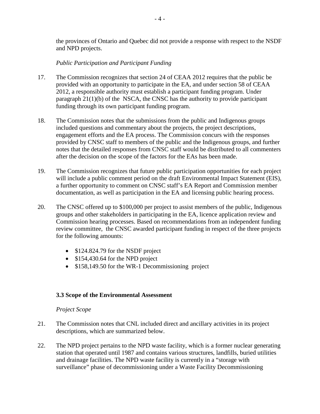the provinces of Ontario and Quebec did not provide a response with respect to the NSDF and NPD projects.

#### <span id="page-6-0"></span>*Public Participation and Participant Funding*

- 17. The Commission recognizes that section 24 of CEAA 2012 requires that the public be provided with an opportunity to participate in the EA, and under section 58 of CEAA 2012, a responsible authority must establish a participant funding program. Under paragraph 21(1)(b) of the NSCA, the CNSC has the authority to provide participant funding through its own participant funding program.
- 18. The Commission notes that the submissions from the public and Indigenous groups included questions and commentary about the projects, the project descriptions, engagement efforts and the EA process. The Commission concurs with the responses provided by CNSC staff to members of the public and the Indigenous groups, and further notes that the detailed responses from CNSC staff would be distributed to all commenters after the decision on the scope of the factors for the EAs has been made.
- 19. The Commission recognizes that future public participation opportunities for each project will include a public comment period on the draft Environmental Impact Statement (EIS), a further opportunity to comment on CNSC staff's EA Report and Commission member documentation, as well as participation in the EA and licensing public hearing process.
- 20. The CNSC offered up to \$100,000 per project to assist members of the public, Indigenous groups and other stakeholders in participating in the EA, licence application review and Commission hearing processes. Based on recommendations from an independent funding review committee, the CNSC awarded participant funding in respect of the three projects for the following amounts:
	- \$124.824.79 for the NSDF project
	- \$154,430.64 for the NPD project
	- \$158,149.50 for the WR-1 Decommissioning project

#### <span id="page-6-1"></span>**3.3 Scope of the Environmental Assessment**

#### <span id="page-6-2"></span>*Project Scope*

- 21. The Commission notes that CNL included direct and ancillary activities in its project descriptions, which are summarized below.
- 22. The NPD project pertains to the NPD waste facility, which is a former nuclear generating station that operated until 1987 and contains various structures, landfills, buried utilities and drainage facilities. The NPD waste facility is currently in a "storage with surveillance" phase of decommissioning under a Waste Facility Decommissioning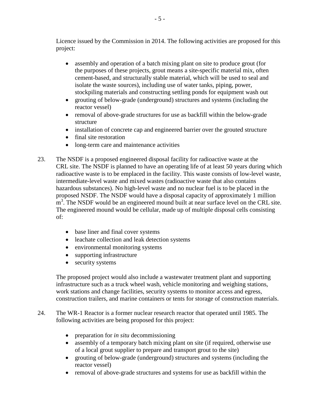Licence issued by the Commission in 2014. The following activities are proposed for this project:

- assembly and operation of a batch mixing plant on site to produce grout (for the purposes of these projects, grout means a site-specific material mix, often cement-based, and structurally stable material, which will be used to seal and isolate the waste sources), including use of water tanks, piping, power, stockpiling materials and constructing settling ponds for equipment wash out
- grouting of below-grade (underground) structures and systems (including the reactor vessel)
- removal of above-grade structures for use as backfill within the below-grade structure
- installation of concrete cap and engineered barrier over the grouted structure
- final site restoration
- long-term care and maintenance activities
- 23. The NSDF is a proposed engineered disposal facility for radioactive waste at the CRL site. The NSDF is planned to have an operating life of at least 50 years during which radioactive waste is to be emplaced in the facility. This waste consists of low-level waste, intermediate-level waste and mixed wastes (radioactive waste that also contains hazardous substances). No high-level waste and no nuclear fuel is to be placed in the proposed NSDF. The NSDF would have a disposal capacity of approximately 1 million  $\text{m}^3$ . The NSDF would be an engineered mound built at near surface level on the CRL site. The engineered mound would be cellular, made up of multiple disposal cells consisting of:
	- base liner and final cover systems
	- leachate collection and leak detection systems
	- environmental monitoring systems
	- supporting infrastructure
	- security systems

The proposed project would also include a wastewater treatment plant and supporting infrastructure such as a truck wheel wash, vehicle monitoring and weighing stations, work stations and change facilities, security systems to monitor access and egress, construction trailers, and marine containers or tents for storage of construction materials.

- 24. The WR-1 Reactor is a former nuclear research reactor that operated until 1985. The following activities are being proposed for this project:
	- preparation for *in situ* decommissioning
	- assembly of a temporary batch mixing plant on site (if required, otherwise use of a local grout supplier to prepare and transport grout to the site)
	- grouting of below-grade (underground) structures and systems (including the reactor vessel)
	- removal of above-grade structures and systems for use as backfill within the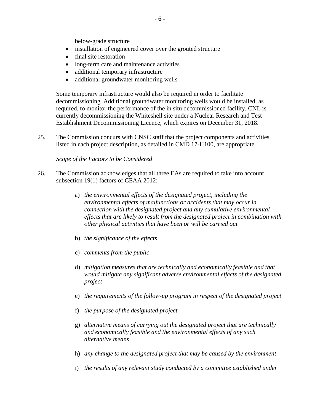below-grade structure

- installation of engineered cover over the grouted structure
- final site restoration
- long-term care and maintenance activities
- additional temporary infrastructure
- additional groundwater monitoring wells

Some temporary infrastructure would also be required in order to facilitate decommissioning. Additional groundwater monitoring wells would be installed, as required, to monitor the performance of the in situ decommissioned facility. CNL is currently decommissioning the Whiteshell site under a Nuclear Research and Test Establishment Decommissioning Licence, which expires on December 31, 2018.

25. The Commission concurs with CNSC staff that the project components and activities listed in each project description, as detailed in CMD 17-H100, are appropriate.

<span id="page-8-0"></span>*Scope of the Factors to be Considered*

- 26. The Commission acknowledges that all three EAs are required to take into account subsection 19(1) factors of CEAA 2012:
	- a) *the environmental effects of the designated project, including the environmental effects of malfunctions or accidents that may occur in connection with the designated project and any cumulative environmental effects that are likely to result from the designated project in combination with other physical activities that have been or will be carried out*
	- b) *the significance of the effects*
	- c) *comments from the public*
	- d) *mitigation measures that are technically and economically feasible and that would mitigate any significant adverse environmental effects of the designated project*
	- e) *the requirements of the follow-up program in respect of the designated project*
	- f) *the purpose of the designated project*
	- g) *alternative means of carrying out the designated project that are technically and economically feasible and the environmental effects of any such alternative means*
	- h) *any change to the designated project that may be caused by the environment*
	- i) *the results of any relevant study conducted by a committee established under*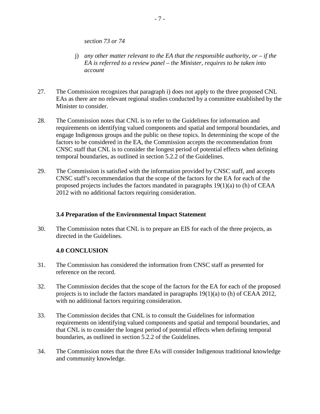*section 73 or 74*

- j) *any other matter relevant to the EA that the responsible authority, or – if the EA is referred to a review panel – the Minister, requires to be taken into account*
- 27. The Commission recognizes that paragraph i) does not apply to the three proposed CNL EAs as there are no relevant regional studies conducted by a committee established by the Minister to consider.
- 28. The Commission notes that CNL is to refer to the Guidelines for information and requirements on identifying valued components and spatial and temporal boundaries, and engage Indigenous groups and the public on these topics. In determining the scope of the factors to be considered in the EA, the Commission accepts the recommendation from CNSC staff that CNL is to consider the longest period of potential effects when defining temporal boundaries, as outlined in section 5.2.2 of the Guidelines.
- 29. The Commission is satisfied with the information provided by CNSC staff, and accepts CNSC staff's recommendation that the scope of the factors for the EA for each of the proposed projects includes the factors mandated in paragraphs 19(1)(a) to (h) of CEAA 2012 with no additional factors requiring consideration.

#### <span id="page-9-0"></span>**3.4 Preparation of the Environmental Impact Statement**

30. The Commission notes that CNL is to prepare an EIS for each of the three projects, as directed in the Guidelines.

# <span id="page-9-1"></span>**4.0 CONCLUSION**

- 31. The Commission has considered the information from CNSC staff as presented for reference on the record.
- 32. The Commission decides that the scope of the factors for the EA for each of the proposed projects is to include the factors mandated in paragraphs 19(1)(a) to (h) of CEAA 2012, with no additional factors requiring consideration.
- 33. The Commission decides that CNL is to consult the Guidelines for information requirements on identifying valued components and spatial and temporal boundaries, and that CNL is to consider the longest period of potential effects when defining temporal boundaries, as outlined in section 5.2.2 of the Guidelines.
- 34. The Commission notes that the three EAs will consider Indigenous traditional knowledge and community knowledge.